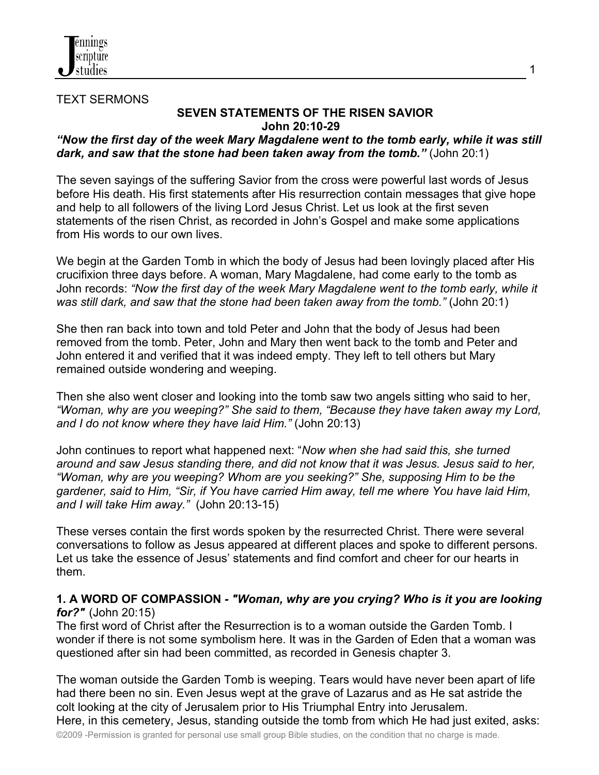

TEXT SERMONS

## **SEVEN STATEMENTS OF THE RISEN SAVIOR John 20:10-29**

## *"Now the first day of the week Mary Magdalene went to the tomb early, while it was still dark, and saw that the stone had been taken away from the tomb."* (John 20:1)

The seven sayings of the suffering Savior from the cross were powerful last words of Jesus before His death. His first statements after His resurrection contain messages that give hope and help to all followers of the living Lord Jesus Christ. Let us look at the first seven statements of the risen Christ, as recorded in John's Gospel and make some applications from His words to our own lives.

We begin at the Garden Tomb in which the body of Jesus had been lovingly placed after His crucifixion three days before. A woman, Mary Magdalene, had come early to the tomb as John records: *"Now the first day of the week Mary Magdalene went to the tomb early, while it was still dark, and saw that the stone had been taken away from the tomb."* (John 20:1)

She then ran back into town and told Peter and John that the body of Jesus had been removed from the tomb. Peter, John and Mary then went back to the tomb and Peter and John entered it and verified that it was indeed empty. They left to tell others but Mary remained outside wondering and weeping.

Then she also went closer and looking into the tomb saw two angels sitting who said to her, *"Woman, why are you weeping?" She said to them, "Because they have taken away my Lord, and I do not know where they have laid Him."* (John 20:13)

John continues to report what happened next: "*Now when she had said this, she turned around and saw Jesus standing there, and did not know that it was Jesus. Jesus said to her, "Woman, why are you weeping? Whom are you seeking?" She, supposing Him to be the gardener, said to Him, "Sir, if You have carried Him away, tell me where You have laid Him, and I will take Him away."* (John 20:13-15)

These verses contain the first words spoken by the resurrected Christ. There were several conversations to follow as Jesus appeared at different places and spoke to different persons. Let us take the essence of Jesus' statements and find comfort and cheer for our hearts in them.

#### **1. A WORD OF COMPASSION** *- "Woman, why are you crying? Who is it you are looking for?"* (John 20:15)

The first word of Christ after the Resurrection is to a woman outside the Garden Tomb. I wonder if there is not some symbolism here. It was in the Garden of Eden that a woman was questioned after sin had been committed, as recorded in Genesis chapter 3.

©2009 -Permission is granted for personal use small group Bible studies, on the condition that no charge is made. The woman outside the Garden Tomb is weeping. Tears would have never been apart of life had there been no sin. Even Jesus wept at the grave of Lazarus and as He sat astride the colt looking at the city of Jerusalem prior to His Triumphal Entry into Jerusalem. Here, in this cemetery, Jesus, standing outside the tomb from which He had just exited, asks:

1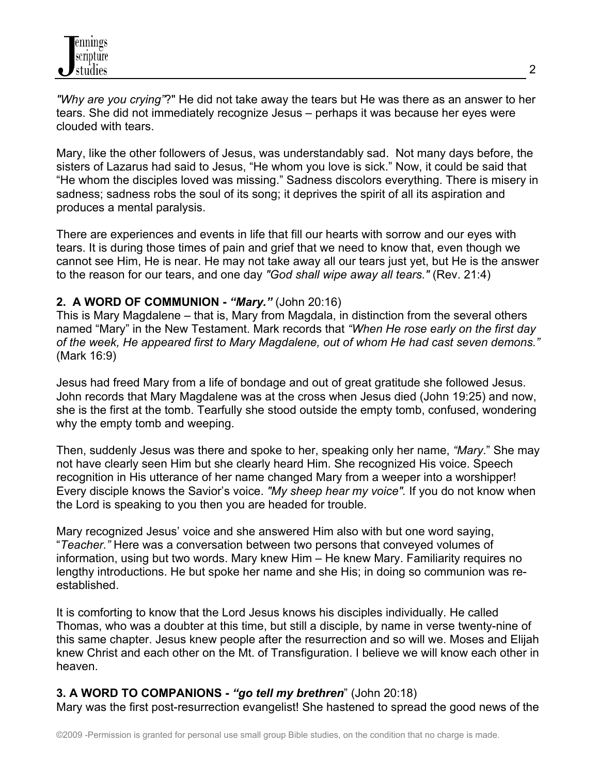*"Why are you crying"*?" He did not take away the tears but He was there as an answer to her tears. She did not immediately recognize Jesus – perhaps it was because her eyes were clouded with tears.

Mary, like the other followers of Jesus, was understandably sad. Not many days before, the sisters of Lazarus had said to Jesus, "He whom you love is sick." Now, it could be said that "He whom the disciples loved was missing." Sadness discolors everything. There is misery in sadness; sadness robs the soul of its song; it deprives the spirit of all its aspiration and produces a mental paralysis.

There are experiences and events in life that fill our hearts with sorrow and our eyes with tears. It is during those times of pain and grief that we need to know that, even though we cannot see Him, He is near. He may not take away all our tears just yet, but He is the answer to the reason for our tears, and one day *"God shall wipe away all tears."* (Rev. 21:4)

## **2. A WORD OF COMMUNION -** *"Mary."* (John 20:16)

This is Mary Magdalene – that is, Mary from Magdala, in distinction from the several others named "Mary" in the New Testament. Mark records that *"When He rose early on the first day of the week, He appeared first to Mary Magdalene, out of whom He had cast seven demons."* (Mark 16:9)

Jesus had freed Mary from a life of bondage and out of great gratitude she followed Jesus. John records that Mary Magdalene was at the cross when Jesus died (John 19:25) and now, she is the first at the tomb. Tearfully she stood outside the empty tomb, confused, wondering why the empty tomb and weeping.

Then, suddenly Jesus was there and spoke to her, speaking only her name, *"Mary*." She may not have clearly seen Him but she clearly heard Him. She recognized His voice. Speech recognition in His utterance of her name changed Mary from a weeper into a worshipper! Every disciple knows the Savior's voice. *"My sheep hear my voice".* If you do not know when the Lord is speaking to you then you are headed for trouble.

Mary recognized Jesus' voice and she answered Him also with but one word saying, "*Teacher."* Here was a conversation between two persons that conveyed volumes of information, using but two words. Mary knew Him – He knew Mary. Familiarity requires no lengthy introductions. He but spoke her name and she His; in doing so communion was reestablished.

It is comforting to know that the Lord Jesus knows his disciples individually. He called Thomas, who was a doubter at this time, but still a disciple, by name in verse twenty-nine of this same chapter. Jesus knew people after the resurrection and so will we. Moses and Elijah knew Christ and each other on the Mt. of Transfiguration. I believe we will know each other in heaven.

# **3. A WORD TO COMPANIONS -** *"go tell my brethren*" (John 20:18)

Mary was the first post-resurrection evangelist! She hastened to spread the good news of the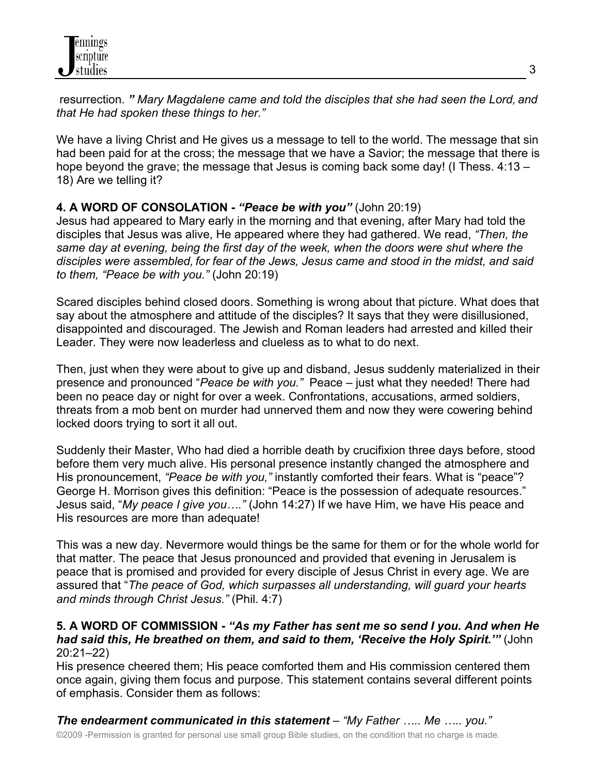resurrection. *" Mary Magdalene came and told the disciples that she had seen the Lord, and that He had spoken these things to her."*

We have a living Christ and He gives us a message to tell to the world. The message that sin had been paid for at the cross; the message that we have a Savior; the message that there is hope beyond the grave; the message that Jesus is coming back some day! (I Thess. 4:13 – 18) Are we telling it?

## **4. A WORD OF CONSOLATION -** *"Peace be with you"* (John 20:19)

Jesus had appeared to Mary early in the morning and that evening, after Mary had told the disciples that Jesus was alive, He appeared where they had gathered. We read, *"Then, the same day at evening, being the first day of the week, when the doors were shut where the disciples were assembled, for fear of the Jews, Jesus came and stood in the midst, and said to them, "Peace be with you."* (John 20:19)

Scared disciples behind closed doors. Something is wrong about that picture. What does that say about the atmosphere and attitude of the disciples? It says that they were disillusioned, disappointed and discouraged. The Jewish and Roman leaders had arrested and killed their Leader. They were now leaderless and clueless as to what to do next.

Then, just when they were about to give up and disband, Jesus suddenly materialized in their presence and pronounced "*Peace be with you."* Peace – just what they needed! There had been no peace day or night for over a week. Confrontations, accusations, armed soldiers, threats from a mob bent on murder had unnerved them and now they were cowering behind locked doors trying to sort it all out.

Suddenly their Master, Who had died a horrible death by crucifixion three days before, stood before them very much alive. His personal presence instantly changed the atmosphere and His pronouncement, *"Peace be with you,"* instantly comforted their fears. What is "peace"? George H. Morrison gives this definition: "Peace is the possession of adequate resources." Jesus said, "*My peace I give you…."* (John 14:27) If we have Him, we have His peace and His resources are more than adequate!

This was a new day. Nevermore would things be the same for them or for the whole world for that matter. The peace that Jesus pronounced and provided that evening in Jerusalem is peace that is promised and provided for every disciple of Jesus Christ in every age. We are assured that "*The peace of God, which surpasses all understanding, will guard your hearts and minds through Christ Jesus."* (Phil. 4:7)

#### **5. A WORD OF COMMISSION -** *"As my Father has sent me so send I you. And when He had said this, He breathed on them, and said to them, 'Receive the Holy Spirit.'"* (John 20:21–22)

His presence cheered them; His peace comforted them and His commission centered them once again, giving them focus and purpose. This statement contains several different points of emphasis. Consider them as follows:

©2009 -Permission is granted for personal use small group Bible studies, on the condition that no charge is made. *The endearment communicated in this statement* – *"My Father ….. Me ….. you."*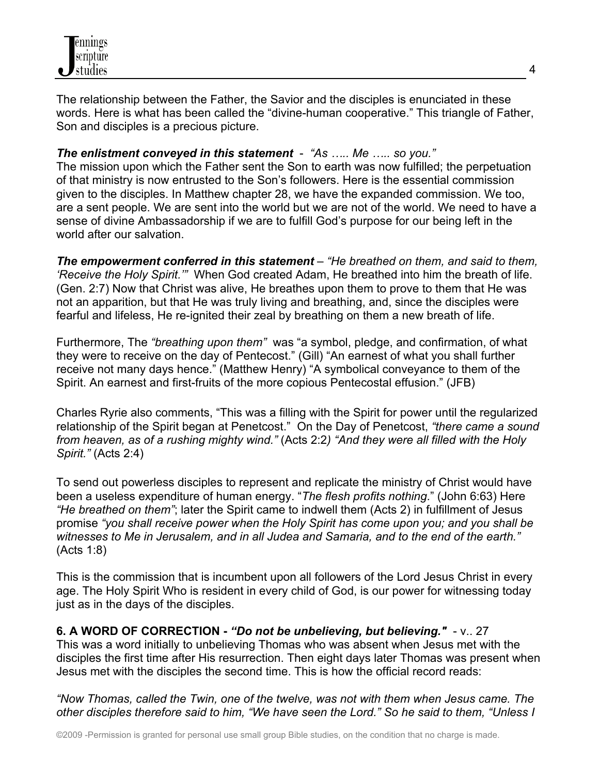The relationship between the Father, the Savior and the disciples is enunciated in these words. Here is what has been called the "divine-human cooperative." This triangle of Father, Son and disciples is a precious picture.

## *The enlistment conveyed in this statement* - *"As ….. Me ….. so you."*

The mission upon which the Father sent the Son to earth was now fulfilled; the perpetuation of that ministry is now entrusted to the Son's followers. Here is the essential commission given to the disciples. In Matthew chapter 28, we have the expanded commission. We too, are a sent people. We are sent into the world but we are not of the world. We need to have a sense of divine Ambassadorship if we are to fulfill God's purpose for our being left in the world after our salvation.

*The empowerment conferred in this statement* – *"He breathed on them, and said to them, 'Receive the Holy Spirit.'"* When God created Adam, He breathed into him the breath of life. (Gen. 2:7) Now that Christ was alive, He breathes upon them to prove to them that He was not an apparition, but that He was truly living and breathing, and, since the disciples were fearful and lifeless, He re-ignited their zeal by breathing on them a new breath of life.

Furthermore, The *"breathing upon them"* was "a symbol, pledge, and confirmation, of what they were to receive on the day of Pentecost." (Gill) "An earnest of what you shall further receive not many days hence." (Matthew Henry) "A symbolical conveyance to them of the Spirit. An earnest and first-fruits of the more copious Pentecostal effusion." (JFB)

Charles Ryrie also comments, "This was a filling with the Spirit for power until the regularized relationship of the Spirit began at Penetcost." On the Day of Penetcost, *"there came a sound from heaven, as of a rushing mighty wind."* (Acts 2:2*) "And they were all filled with the Holy Spirit."* (Acts 2:4)

To send out powerless disciples to represent and replicate the ministry of Christ would have been a useless expenditure of human energy. "*The flesh profits nothing*." (John 6:63) Here *"He breathed on them"*; later the Spirit came to indwell them (Acts 2) in fulfillment of Jesus promise *"you shall receive power when the Holy Spirit has come upon you; and you shall be witnesses to Me in Jerusalem, and in all Judea and Samaria, and to the end of the earth."*  (Acts 1:8)

This is the commission that is incumbent upon all followers of the Lord Jesus Christ in every age. The Holy Spirit Who is resident in every child of God, is our power for witnessing today just as in the days of the disciples.

**6. A WORD OF CORRECTION -** *"Do not be unbelieving, but believing."* - v.. 27 This was a word initially to unbelieving Thomas who was absent when Jesus met with the disciples the first time after His resurrection. Then eight days later Thomas was present when Jesus met with the disciples the second time. This is how the official record reads:

*"Now Thomas, called the Twin, one of the twelve, was not with them when Jesus came. The other disciples therefore said to him, "We have seen the Lord." So he said to them, "Unless I*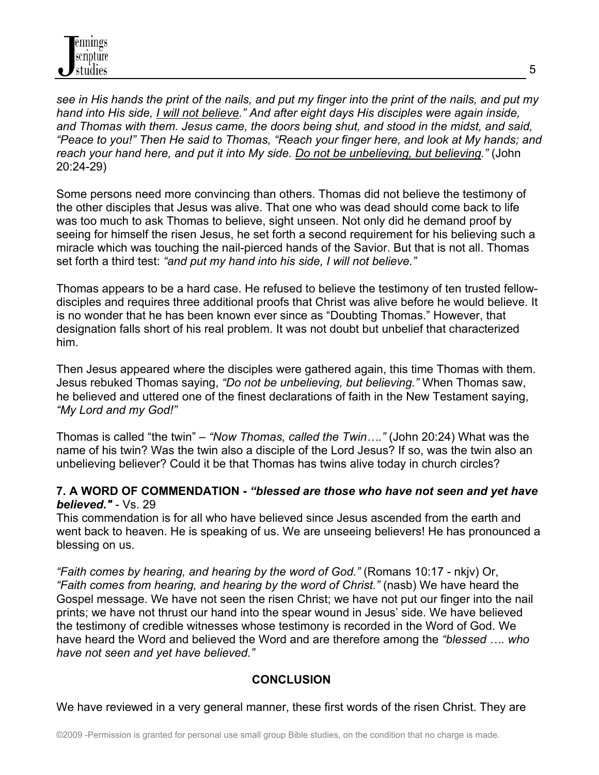*see in His hands the print of the nails, and put my finger into the print of the nails, and put my hand into His side, I will not believe." And after eight days His disciples were again inside, and Thomas with them. Jesus came, the doors being shut, and stood in the midst, and said, "Peace to you!" Then He said to Thomas, "Reach your finger here, and look at My hands; and reach your hand here, and put it into My side. Do not be unbelieving, but believing."* (John 20:24-29)

Some persons need more convincing than others. Thomas did not believe the testimony of the other disciples that Jesus was alive. That one who was dead should come back to life was too much to ask Thomas to believe, sight unseen. Not only did he demand proof by seeing for himself the risen Jesus, he set forth a second requirement for his believing such a miracle which was touching the nail-pierced hands of the Savior. But that is not all. Thomas set forth a third test: *"and put my hand into his side, I will not believe."*

Thomas appears to be a hard case. He refused to believe the testimony of ten trusted fellowdisciples and requires three additional proofs that Christ was alive before he would believe. It is no wonder that he has been known ever since as "Doubting Thomas." However, that designation falls short of his real problem. It was not doubt but unbelief that characterized him.

Then Jesus appeared where the disciples were gathered again, this time Thomas with them. Jesus rebuked Thomas saying, *"Do not be unbelieving, but believing."* When Thomas saw, he believed and uttered one of the finest declarations of faith in the New Testament saying, *"My Lord and my God!"*

Thomas is called "the twin" – *"Now Thomas, called the Twin…."* (John 20:24) What was the name of his twin? Was the twin also a disciple of the Lord Jesus? If so, was the twin also an unbelieving believer? Could it be that Thomas has twins alive today in church circles?

## **7. A WORD OF COMMENDATION -** *"blessed are those who have not seen and yet have believed."* - Vs. 29

This commendation is for all who have believed since Jesus ascended from the earth and went back to heaven. He is speaking of us. We are unseeing believers! He has pronounced a blessing on us.

*"Faith comes by hearing, and hearing by the word of God."* (Romans 10:17 - nkjv) Or, *"Faith comes from hearing, and hearing by the word of Christ."* (nasb) We have heard the Gospel message. We have not seen the risen Christ; we have not put our finger into the nail prints; we have not thrust our hand into the spear wound in Jesus' side. We have believed the testimony of credible witnesses whose testimony is recorded in the Word of God. We have heard the Word and believed the Word and are therefore among the *"blessed …. who have not seen and yet have believed."*

## **CONCLUSION**

We have reviewed in a very general manner, these first words of the risen Christ. They are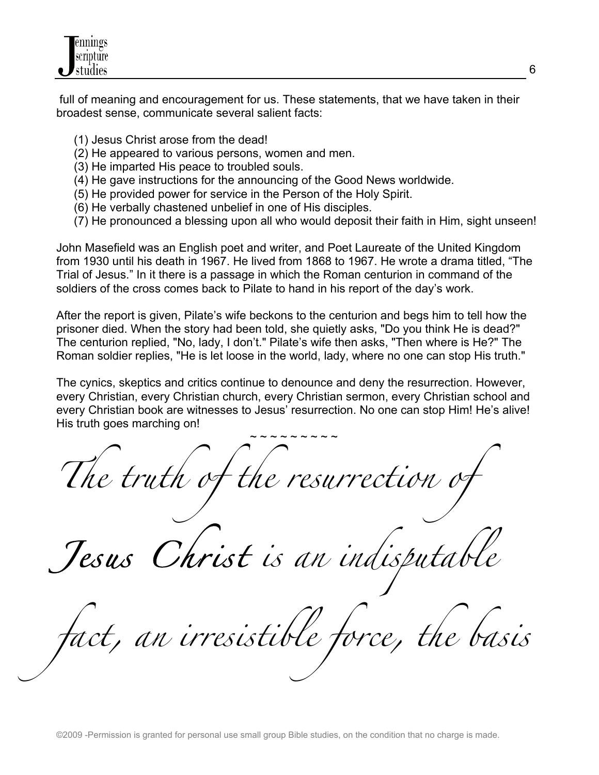

 full of meaning and encouragement for us. These statements, that we have taken in their broadest sense, communicate several salient facts:

- (1) Jesus Christ arose from the dead!
- (2) He appeared to various persons, women and men.
- (3) He imparted His peace to troubled souls.
- (4) He gave instructions for the announcing of the Good News worldwide.
- (5) He provided power for service in the Person of the Holy Spirit.
- (6) He verbally chastened unbelief in one of His disciples.
- (7) He pronounced a blessing upon all who would deposit their faith in Him, sight unseen!

John Masefield was an English poet and writer, and Poet Laureate of the United Kingdom from 1930 until his death in 1967. He lived from 1868 to 1967. He wrote a drama titled, "The Trial of Jesus." In it there is a passage in which the Roman centurion in command of the soldiers of the cross comes back to Pilate to hand in his report of the day's work.

After the report is given, Pilate's wife beckons to the centurion and begs him to tell how the prisoner died. When the story had been told, she quietly asks, "Do you think He is dead?" The centurion replied, "No, lady, I don't." Pilate's wife then asks, "Then where is He?" The Roman soldier replies, "He is let loose in the world, lady, where no one can stop His truth."

The cynics, skeptics and critics continue to denounce and deny the resurrection. However, every Christian, every Christian church, every Christian sermon, every Christian school and every Christian book are witnesses to Jesus' resurrection. No one can stop Him! He's alive! His truth goes marching on!

 $\sim$   $\sim$   $\sim$   $\sim$   $\sim$   $\sim$   $\sim$   $\sim$ *The truth of the resurrection of* 

*Jesus Christ is an indisputable* 

*fact, an irresistible force, the basis*